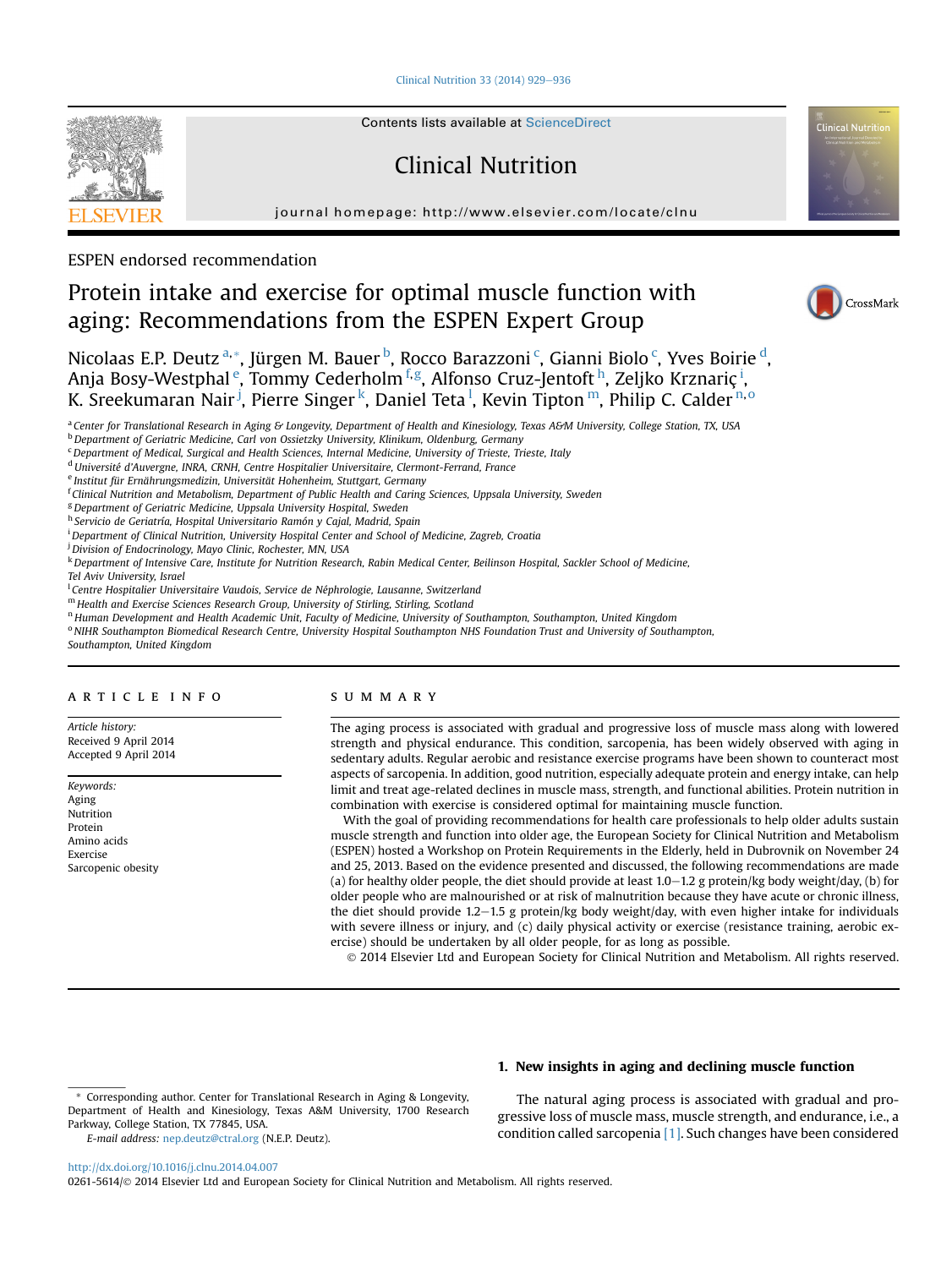Clinical Nutrition 33 (2014)  $929-936$  $929-936$ 



Contents lists available at ScienceDirect

# Clinical Nutrition

journal homepage:<http://www.elsevier.com/locate/clnu>



# Protein intake and exercise for optimal muscle function with aging: Recommendations from the ESPEN Expert Group



**Clinical Nutrition** 



Nicolaas E.P. Deutz <sup>a, \*</sup>, Jürgen M. Bauer <sup>b</sup>, Rocco Barazzoni <sup>c</sup>, Gianni Biolo <sup>c</sup>, Yves Boirie <sup>d</sup>, Anja Bosy-Westphal <sup>e</sup>, Tommy Cederholm <sup>f,g</sup>, Alfonso Cruz-Jentoft <sup>h</sup>, Zeljko Krznariç <sup>i</sup>, K. Sreekumaran Nair <sup>j</sup>, Pierre Singer <sup>k</sup>, Daniel Teta <sup>l</sup>, Kevin Tipton <sup>m</sup>, Philip C. Calder <sup>n, o</sup>

a Center for Translational Research in Aging & Longevity, Department of Health and Kinesiology, Texas A&M University, College Station, TX, USA

<sup>c</sup> Department of Medical, Surgical and Health Sciences, Internal Medicine, University of Trieste, Trieste, Italy

<sup>d</sup> Université d'Auvergne, INRA, CRNH, Centre Hospitalier Universitaire, Clermont-Ferrand, France

<sup>e</sup> Institut für Ernährungsmedizin, Universität Hohenheim, Stuttgart, Germany

<sup>f</sup> Clinical Nutrition and Metabolism, Department of Public Health and Caring Sciences, Uppsala University, Sweden

<sup>g</sup> Department of Geriatric Medicine, Uppsala University Hospital, Sweden

h Servicio de Geriatría, Hospital Universitario Ramón y Cajal, Madrid, Spain

i Department of Clinical Nutrition, University Hospital Center and School of Medicine, Zagreb, Croatia

<sup>j</sup> Division of Endocrinology, Mayo Clinic, Rochester, MN, USA

k Department of Intensive Care, Institute for Nutrition Research, Rabin Medical Center, Beilinson Hospital, Sackler School of Medicine,

Tel Aviv University, Israel

<sup>1</sup> Centre Hospitalier Universitaire Vaudois, Service de Néphrologie, Lausanne, Switzerland

<sup>m</sup> Health and Exercise Sciences Research Group, University of Stirling, Stirling, Scotland

<sup>n</sup> Human Development and Health Academic Unit, Faculty of Medicine, University of Southampton, Southampton, United Kingdom

<sup>o</sup> NIHR Southampton Biomedical Research Centre, University Hospital Southampton NHS Foundation Trust and University of Southampton,

Southampton, United Kingdom

#### article info

Article history: Received 9 April 2014 Accepted 9 April 2014

Keywords: Aging Nutrition Protein Amino acids Exercise Sarcopenic obesity

#### SUMMARY

The aging process is associated with gradual and progressive loss of muscle mass along with lowered strength and physical endurance. This condition, sarcopenia, has been widely observed with aging in sedentary adults. Regular aerobic and resistance exercise programs have been shown to counteract most aspects of sarcopenia. In addition, good nutrition, especially adequate protein and energy intake, can help limit and treat age-related declines in muscle mass, strength, and functional abilities. Protein nutrition in combination with exercise is considered optimal for maintaining muscle function.

With the goal of providing recommendations for health care professionals to help older adults sustain muscle strength and function into older age, the European Society for Clinical Nutrition and Metabolism (ESPEN) hosted a Workshop on Protein Requirements in the Elderly, held in Dubrovnik on November 24 and 25, 2013. Based on the evidence presented and discussed, the following recommendations are made (a) for healthy older people, the diet should provide at least  $1.0-1.2$  g protein/kg body weight/day, (b) for older people who are malnourished or at risk of malnutrition because they have acute or chronic illness, the diet should provide 1.2-1.5 g protein/kg body weight/day, with even higher intake for individuals with severe illness or injury, and (c) daily physical activity or exercise (resistance training, aerobic exercise) should be undertaken by all older people, for as long as possible.

2014 Elsevier Ltd and European Society for Clinical Nutrition and Metabolism. All rights reserved.

#### 1. New insights in aging and declining muscle function

E-mail address: [nep.deutz@ctral.org](mailto:nep.deutz@ctral.org) (N.E.P. Deutz).

The natural aging process is associated with gradual and progressive loss of muscle mass, muscle strength, and endurance, i.e., a condition called sarcopenia [\[1\].](#page-5-0) Such changes have been considered

<http://dx.doi.org/10.1016/j.clnu.2014.04.007>

0261-5614/ 2014 Elsevier Ltd and European Society for Clinical Nutrition and Metabolism. All rights reserved.

<sup>&</sup>lt;sup>b</sup> Department of Geriatric Medicine, Carl von Ossietzky University, Klinikum, Oldenburg, Germany

Corresponding author. Center for Translational Research in Aging & Longevity, Department of Health and Kinesiology, Texas A&M University, 1700 Research Parkway, College Station, TX 77845, USA.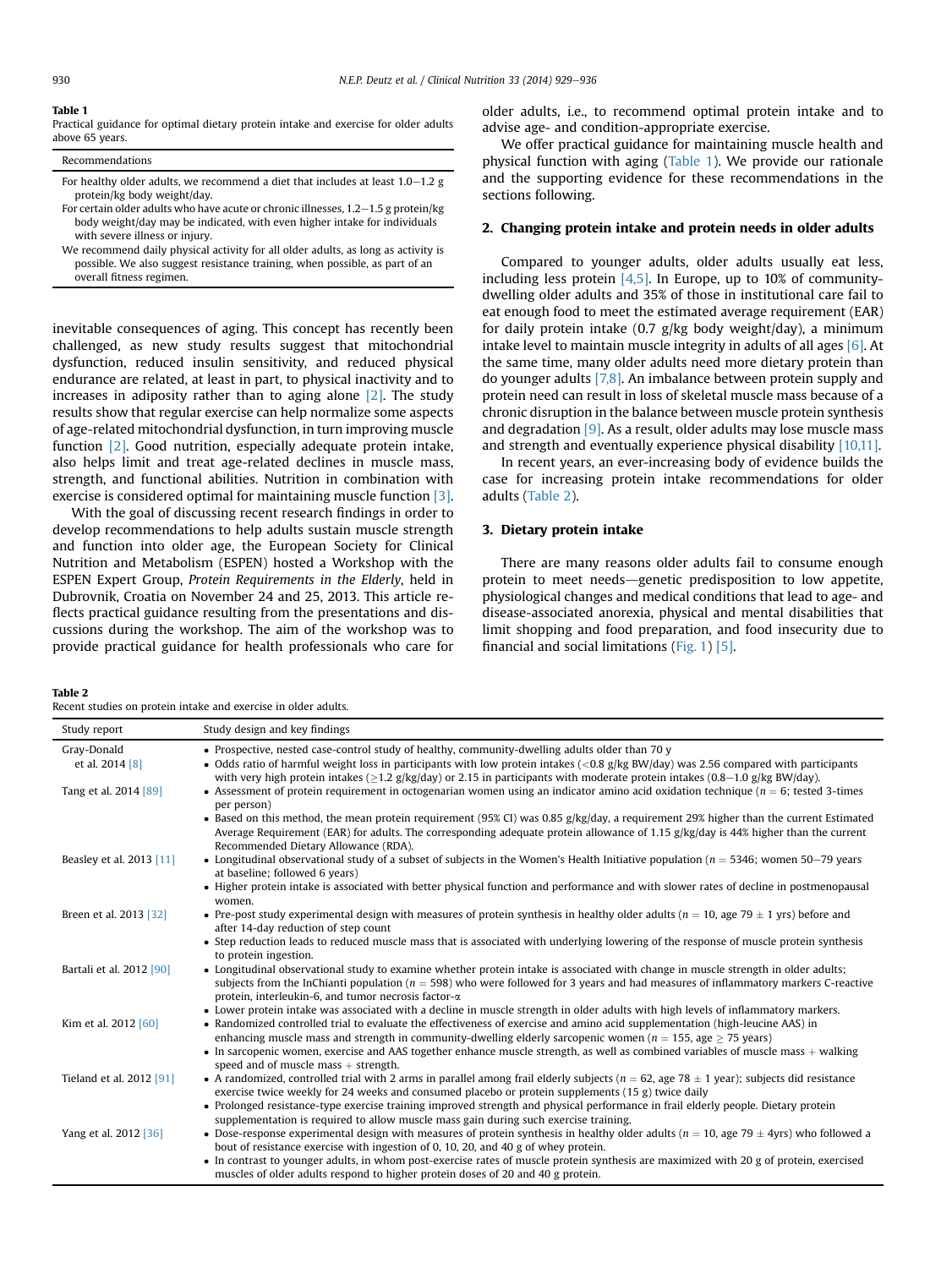#### Table 1

Practical guidance for optimal dietary protein intake and exercise for older adults above 65 years.

Recommendations

- For healthy older adults, we recommend a diet that includes at least  $1.0-1.2$  g protein/kg body weight/day.
- For certain older adults who have acute or chronic illnesses,  $1.2-1.5$  g protein/kg body weight/day may be indicated, with even higher intake for individuals with severe illness or injury.
- We recommend daily physical activity for all older adults, as long as activity is possible. We also suggest resistance training, when possible, as part of an overall fitness regimen.

inevitable consequences of aging. This concept has recently been challenged, as new study results suggest that mitochondrial dysfunction, reduced insulin sensitivity, and reduced physical endurance are related, at least in part, to physical inactivity and to increases in adiposity rather than to aging alone  $[2]$ . The study results show that regular exercise can help normalize some aspects of age-related mitochondrial dysfunction, in turn improving muscle function [\[2\].](#page-5-0) Good nutrition, especially adequate protein intake, also helps limit and treat age-related declines in muscle mass, strength, and functional abilities. Nutrition in combination with exercise is considered optimal for maintaining muscle function [\[3\].](#page-5-0)

With the goal of discussing recent research findings in order to develop recommendations to help adults sustain muscle strength and function into older age, the European Society for Clinical Nutrition and Metabolism (ESPEN) hosted a Workshop with the ESPEN Expert Group, Protein Requirements in the Elderly, held in Dubrovnik, Croatia on November 24 and 25, 2013. This article reflects practical guidance resulting from the presentations and discussions during the workshop. The aim of the workshop was to provide practical guidance for health professionals who care for

Table 2

| Recent studies on protein intake and exercise in older adults. |  |  |  |  |
|----------------------------------------------------------------|--|--|--|--|
|                                                                |  |  |  |  |

older adults, i.e., to recommend optimal protein intake and to advise age- and condition-appropriate exercise.

We offer practical guidance for maintaining muscle health and physical function with aging (Table 1). We provide our rationale and the supporting evidence for these recommendations in the sections following.

### 2. Changing protein intake and protein needs in older adults

Compared to younger adults, older adults usually eat less, including less protein  $[4,5]$ . In Europe, up to 10% of communitydwelling older adults and 35% of those in institutional care fail to eat enough food to meet the estimated average requirement (EAR) for daily protein intake (0.7 g/kg body weight/day), a minimum intake level to maintain muscle integrity in adults of all ages [\[6\].](#page-5-0) At the same time, many older adults need more dietary protein than do younger adults [\[7,8\].](#page-5-0) An imbalance between protein supply and protein need can result in loss of skeletal muscle mass because of a chronic disruption in the balance between muscle protein synthesis and degradation  $[9]$ . As a result, older adults may lose muscle mass and strength and eventually experience physical disability [\[10,11\].](#page-5-0)

In recent years, an ever-increasing body of evidence builds the case for increasing protein intake recommendations for older adults (Table 2).

# 3. Dietary protein intake

There are many reasons older adults fail to consume enough protein to meet needs—genetic predisposition to low appetite, physiological changes and medical conditions that lead to age- and disease-associated anorexia, physical and mental disabilities that limit shopping and food preparation, and food insecurity due to financial and social limitations [\(Fig. 1\)](#page-2-0) [\[5\].](#page-5-0)

| Study report                   | Study design and key findings                                                                                                                                                                                                                                                                                                                                                                                                                                                        |
|--------------------------------|--------------------------------------------------------------------------------------------------------------------------------------------------------------------------------------------------------------------------------------------------------------------------------------------------------------------------------------------------------------------------------------------------------------------------------------------------------------------------------------|
| Gray-Donald<br>et al. 2014 [8] | • Prospective, nested case-control study of healthy, community-dwelling adults older than 70 y<br>• Odds ratio of harmful weight loss in participants with low protein intakes $(<0.8$ g/kg BW/day) was 2.56 compared with participants<br>with very high protein intakes (>1.2 g/kg/day) or 2.15 in participants with moderate protein intakes (0.8–1.0 g/kg BW/day).                                                                                                               |
| Tang et al. 2014 [89]          | • Assessment of protein requirement in octogenarian women using an indicator amino acid oxidation technique ( $n = 6$ ; tested 3-times<br>per person)<br>• Based on this method, the mean protein requirement (95% CI) was 0.85 $g/kg/day$ , a requirement 29% higher than the current Estimated<br>Average Requirement (EAR) for adults. The corresponding adequate protein allowance of 1.15 $g/kg$ day is 44% higher than the current<br>Recommended Dietary Allowance (RDA).     |
| Beasley et al. 2013 [11]       | • Longitudinal observational study of a subset of subjects in the Women's Health Initiative population ( $n = 5346$ ; women 50–79 years<br>at baseline; followed 6 years)<br>• Higher protein intake is associated with better physical function and performance and with slower rates of decline in postmenopausal<br>women.                                                                                                                                                        |
| Breen et al. 2013 [32]         | • Pre-post study experimental design with measures of protein synthesis in healthy older adults ( $n = 10$ , age 79 $\pm$ 1 yrs) before and<br>after 14-day reduction of step count<br>• Step reduction leads to reduced muscle mass that is associated with underlying lowering of the response of muscle protein synthesis<br>to protein ingestion.                                                                                                                                |
| Bartali et al. 2012 [90]       | • Longitudinal observational study to examine whether protein intake is associated with change in muscle strength in older adults;<br>subjects from the InChianti population ( $n = 598$ ) who were followed for 3 years and had measures of inflammatory markers C-reactive<br>protein, interleukin-6, and tumor necrosis factor- $\alpha$<br>• Lower protein intake was associated with a decline in muscle strength in older adults with high levels of inflammatory markers.     |
| Kim et al. 2012 [60]           | • Randomized controlled trial to evaluate the effectiveness of exercise and amino acid supplementation (high-leucine AAS) in<br>enhancing muscle mass and strength in community-dwelling elderly sarcopenic women ( $n = 155$ , age $\geq 75$ years)<br>$\bullet$ In sarcopenic women, exercise and AAS together enhance muscle strength, as well as combined variables of muscle mass $+$ walking<br>speed and of muscle mass $+$ strength.                                         |
| Tieland et al. 2012 [91]       | • A randomized, controlled trial with 2 arms in parallel among frail elderly subjects ( $n = 62$ , age 78 $\pm$ 1 year); subjects did resistance<br>exercise twice weekly for 24 weeks and consumed placebo or protein supplements $(15 g)$ twice daily<br>• Prolonged resistance-type exercise training improved strength and physical performance in frail elderly people. Dietary protein<br>supplementation is required to allow muscle mass gain during such exercise training. |
| Yang et al. 2012 [36]          | • Dose-response experimental design with measures of protein synthesis in healthy older adults ( $n = 10$ , age 79 $\pm$ 4yrs) who followed a<br>bout of resistance exercise with ingestion of 0, 10, 20, and 40 g of whey protein.<br>• In contrast to younger adults, in whom post-exercise rates of muscle protein synthesis are maximized with 20 g of protein, exercised<br>muscles of older adults respond to higher protein doses of 20 and 40 g protein.                     |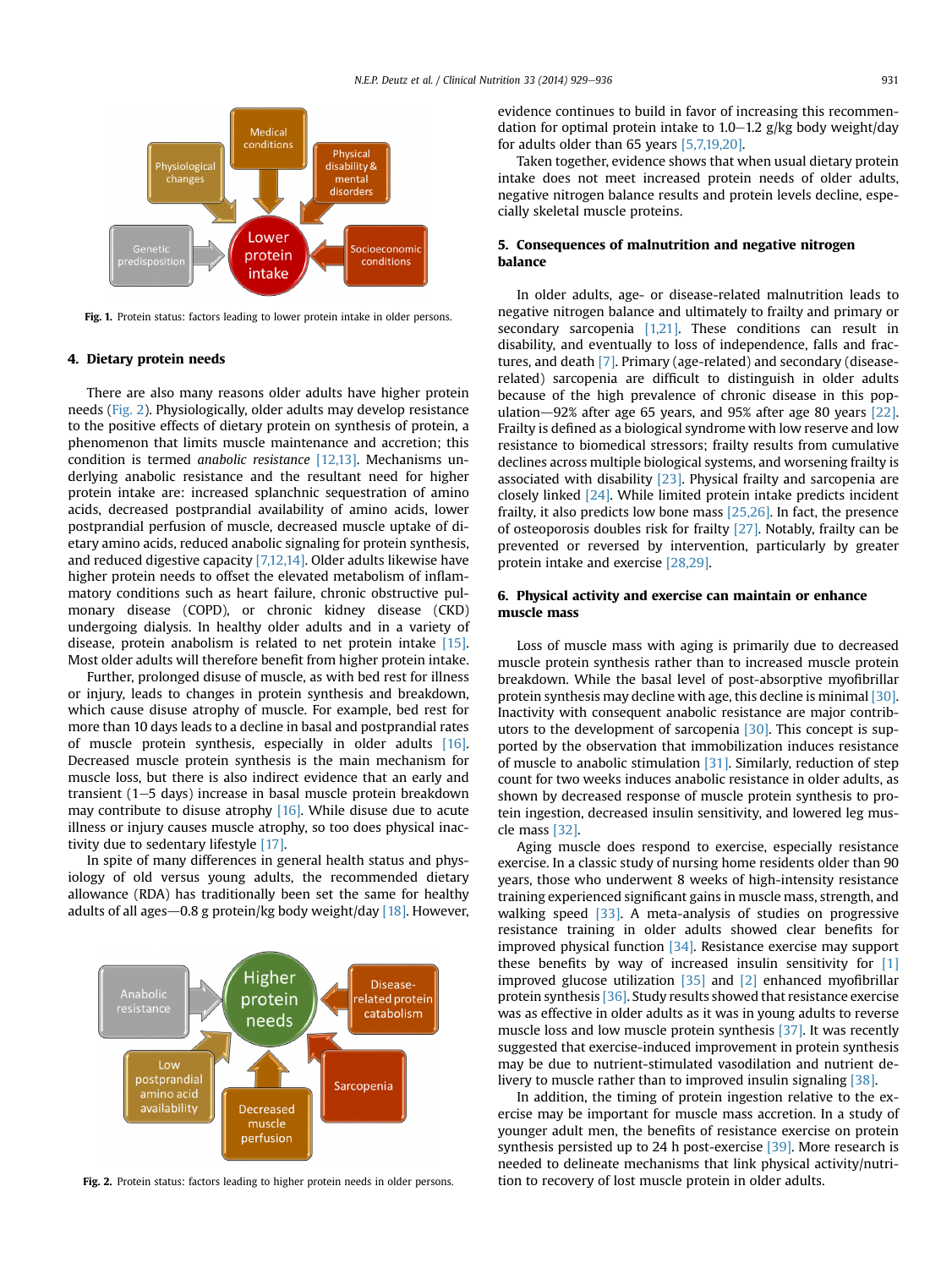<span id="page-2-0"></span>

Fig. 1. Protein status: factors leading to lower protein intake in older persons.

#### 4. Dietary protein needs

There are also many reasons older adults have higher protein needs (Fig. 2). Physiologically, older adults may develop resistance to the positive effects of dietary protein on synthesis of protein, a phenomenon that limits muscle maintenance and accretion; this condition is termed anabolic resistance [\[12,13\]](#page-5-0). Mechanisms underlying anabolic resistance and the resultant need for higher protein intake are: increased splanchnic sequestration of amino acids, decreased postprandial availability of amino acids, lower postprandial perfusion of muscle, decreased muscle uptake of dietary amino acids, reduced anabolic signaling for protein synthesis, and reduced digestive capacity [\[7,12,14\].](#page-5-0) Older adults likewise have higher protein needs to offset the elevated metabolism of inflammatory conditions such as heart failure, chronic obstructive pulmonary disease (COPD), or chronic kidney disease (CKD) undergoing dialysis. In healthy older adults and in a variety of disease, protein anabolism is related to net protein intake [\[15\].](#page-5-0) Most older adults will therefore benefit from higher protein intake.

Further, prolonged disuse of muscle, as with bed rest for illness or injury, leads to changes in protein synthesis and breakdown, which cause disuse atrophy of muscle. For example, bed rest for more than 10 days leads to a decline in basal and postprandial rates of muscle protein synthesis, especially in older adults [\[16\].](#page-5-0) Decreased muscle protein synthesis is the main mechanism for muscle loss, but there is also indirect evidence that an early and transient  $(1-5$  days) increase in basal muscle protein breakdown may contribute to disuse atrophy [\[16\]](#page-5-0). While disuse due to acute illness or injury causes muscle atrophy, so too does physical inactivity due to sedentary lifestyle [\[17\].](#page-5-0)

In spite of many differences in general health status and physiology of old versus young adults, the recommended dietary allowance (RDA) has traditionally been set the same for healthy adults of all ages—0.8 g protein/kg body weight/day  $[18]$ . However,



Fig. 2. Protein status: factors leading to higher protein needs in older persons.

evidence continues to build in favor of increasing this recommendation for optimal protein intake to  $1.0-1.2$  g/kg body weight/day for adults older than 65 years [\[5,7,19,20\].](#page-5-0)

Taken together, evidence shows that when usual dietary protein intake does not meet increased protein needs of older adults, negative nitrogen balance results and protein levels decline, especially skeletal muscle proteins.

# 5. Consequences of malnutrition and negative nitrogen balance

In older adults, age- or disease-related malnutrition leads to negative nitrogen balance and ultimately to frailty and primary or secondary sarcopenia [\[1,21\]](#page-5-0). These conditions can result in disability, and eventually to loss of independence, falls and fractures, and death [\[7\]](#page-5-0). Primary (age-related) and secondary (diseaserelated) sarcopenia are difficult to distinguish in older adults because of the high prevalence of chronic disease in this population $-92%$  after age 65 years, and 95% after age 80 years [\[22\].](#page-5-0) Frailty is defined as a biological syndrome with low reserve and low resistance to biomedical stressors; frailty results from cumulative declines across multiple biological systems, and worsening frailty is associated with disability [\[23\].](#page-5-0) Physical frailty and sarcopenia are closely linked [\[24\].](#page-5-0) While limited protein intake predicts incident frailty, it also predicts low bone mass  $[25,26]$ . In fact, the presence of osteoporosis doubles risk for frailty [\[27\]](#page-5-0). Notably, frailty can be prevented or reversed by intervention, particularly by greater protein intake and exercise [\[28,29\].](#page-5-0)

# 6. Physical activity and exercise can maintain or enhance muscle mass

Loss of muscle mass with aging is primarily due to decreased muscle protein synthesis rather than to increased muscle protein breakdown. While the basal level of post-absorptive myofibrillar protein synthesis may decline with age, this decline is minimal [\[30\].](#page-5-0) Inactivity with consequent anabolic resistance are major contributors to the development of sarcopenia [\[30\]](#page-5-0). This concept is supported by the observation that immobilization induces resistance of muscle to anabolic stimulation [\[31\].](#page-5-0) Similarly, reduction of step count for two weeks induces anabolic resistance in older adults, as shown by decreased response of muscle protein synthesis to protein ingestion, decreased insulin sensitivity, and lowered leg muscle mass [\[32\]](#page-5-0).

Aging muscle does respond to exercise, especially resistance exercise. In a classic study of nursing home residents older than 90 years, those who underwent 8 weeks of high-intensity resistance training experienced significant gains in muscle mass, strength, and walking speed [\[33\]](#page-5-0). A meta-analysis of studies on progressive resistance training in older adults showed clear benefits for improved physical function [\[34\].](#page-6-0) Resistance exercise may support these benefits by way of increased insulin sensitivity for [\[1\]](#page-5-0) improved glucose utilization  $\left[35\right]$  and  $\left[2\right]$  enhanced myofibrillar protein synthesis [\[36\]](#page-6-0). Study results showed that resistance exercise was as effective in older adults as it was in young adults to reverse muscle loss and low muscle protein synthesis [\[37\]](#page-6-0). It was recently suggested that exercise-induced improvement in protein synthesis may be due to nutrient-stimulated vasodilation and nutrient de-livery to muscle rather than to improved insulin signaling [\[38\].](#page-6-0)

In addition, the timing of protein ingestion relative to the exercise may be important for muscle mass accretion. In a study of younger adult men, the benefits of resistance exercise on protein synthesis persisted up to 24 h post-exercise [\[39\]](#page-6-0). More research is needed to delineate mechanisms that link physical activity/nutrition to recovery of lost muscle protein in older adults.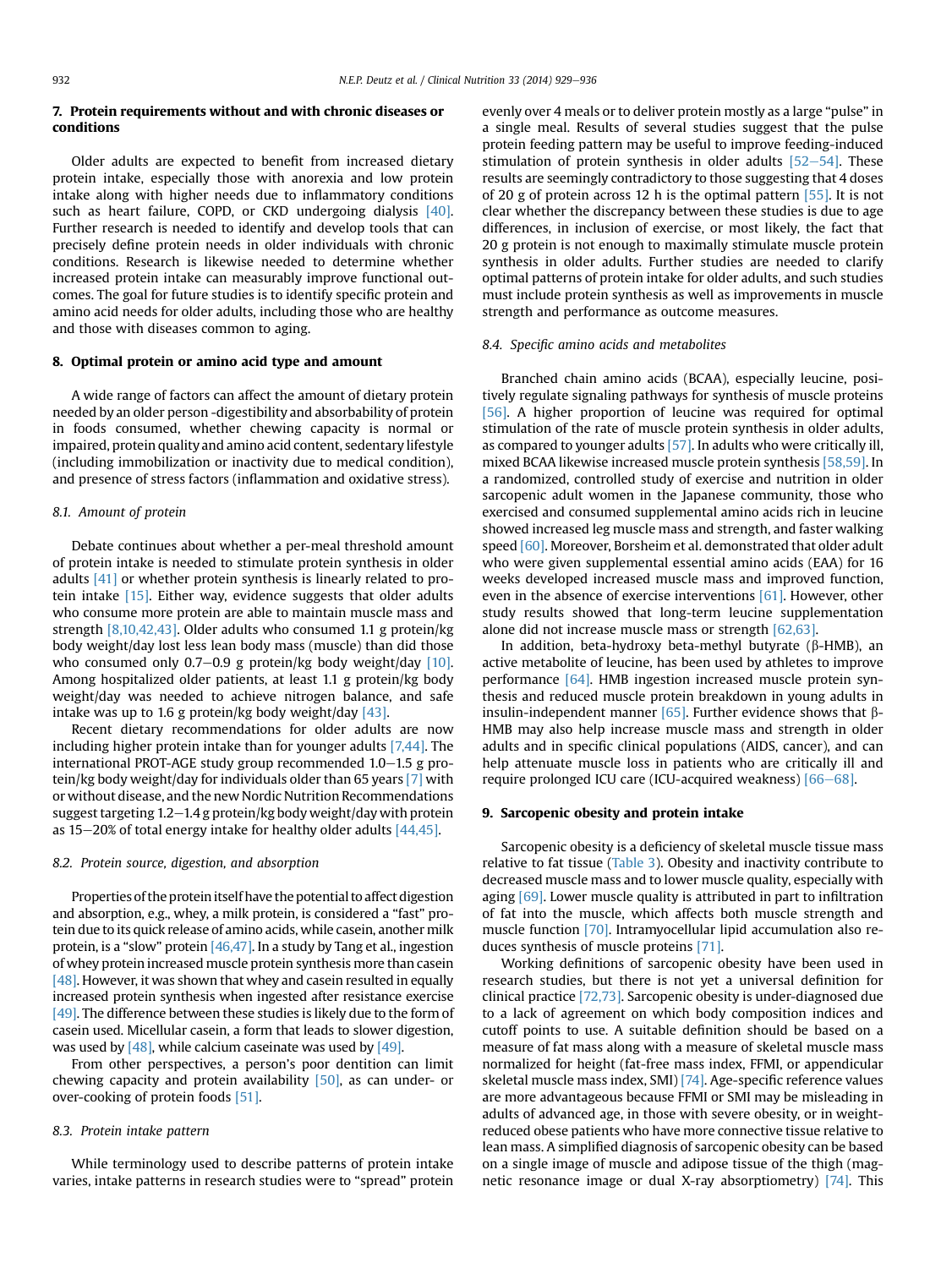# 7. Protein requirements without and with chronic diseases or conditions

Older adults are expected to benefit from increased dietary protein intake, especially those with anorexia and low protein intake along with higher needs due to inflammatory conditions such as heart failure, COPD, or CKD undergoing dialysis [\[40\].](#page-6-0) Further research is needed to identify and develop tools that can precisely define protein needs in older individuals with chronic conditions. Research is likewise needed to determine whether increased protein intake can measurably improve functional outcomes. The goal for future studies is to identify specific protein and amino acid needs for older adults, including those who are healthy and those with diseases common to aging.

#### 8. Optimal protein or amino acid type and amount

A wide range of factors can affect the amount of dietary protein needed by an older person -digestibility and absorbability of protein in foods consumed, whether chewing capacity is normal or impaired, protein quality and amino acid content, sedentary lifestyle (including immobilization or inactivity due to medical condition), and presence of stress factors (inflammation and oxidative stress).

## 8.1. Amount of protein

Debate continues about whether a per-meal threshold amount of protein intake is needed to stimulate protein synthesis in older adults [\[41\]](#page-6-0) or whether protein synthesis is linearly related to protein intake [\[15\]](#page-5-0). Either way, evidence suggests that older adults who consume more protein are able to maintain muscle mass and strength [\[8,10,42,43\].](#page-5-0) Older adults who consumed 1.1 g protein/kg body weight/day lost less lean body mass (muscle) than did those who consumed only 0.7–0.9 g protein/kg body weight/day  $[10]$ . Among hospitalized older patients, at least 1.1 g protein/kg body weight/day was needed to achieve nitrogen balance, and safe intake was up to 1.6 g protein/kg body weight/day [\[43\].](#page-6-0)

Recent dietary recommendations for older adults are now including higher protein intake than for younger adults [\[7,44\].](#page-5-0) The international PROT-AGE study group recommended  $1.0-1.5$  g protein/kg body weight/day for individuals older than 65 years [\[7\]](#page-5-0) with or without disease, and the new Nordic Nutrition Recommendations suggest targeting  $1.2-1.4$  g protein/kg body weight/day with protein as 15-20% of total energy intake for healthy older adults  $[44,45]$ .

#### 8.2. Protein source, digestion, and absorption

Properties of the protein itself have the potential to affect digestion and absorption, e.g., whey, a milk protein, is considered a "fast" protein due to its quick release of amino acids, while casein, another milk protein, is a "slow" protein [\[46,47\].](#page-6-0) In a study by Tang et al., ingestion of whey protein increased muscle protein synthesis more than casein  $[48]$ . However, it was shown that whey and casein resulted in equally increased protein synthesis when ingested after resistance exercise [\[49\].](#page-6-0) The difference between these studies is likely due to the form of casein used. Micellular casein, a form that leads to slower digestion, was used by  $[48]$ , while calcium caseinate was used by  $[49]$ .

From other perspectives, a person's poor dentition can limit chewing capacity and protein availability  $[50]$ , as can under- or over-cooking of protein foods [\[51\]](#page-6-0).

## 8.3. Protein intake pattern

While terminology used to describe patterns of protein intake varies, intake patterns in research studies were to "spread" protein evenly over 4 meals or to deliver protein mostly as a large "pulse" in a single meal. Results of several studies suggest that the pulse protein feeding pattern may be useful to improve feeding-induced stimulation of protein synthesis in older adults  $[52-54]$  $[52-54]$  $[52-54]$ . These results are seemingly contradictory to those suggesting that 4 doses of 20 g of protein across 12 h is the optimal pattern [\[55\].](#page-6-0) It is not clear whether the discrepancy between these studies is due to age differences, in inclusion of exercise, or most likely, the fact that 20 g protein is not enough to maximally stimulate muscle protein synthesis in older adults. Further studies are needed to clarify optimal patterns of protein intake for older adults, and such studies must include protein synthesis as well as improvements in muscle strength and performance as outcome measures.

#### 8.4. Specific amino acids and metabolites

Branched chain amino acids (BCAA), especially leucine, positively regulate signaling pathways for synthesis of muscle proteins [\[56\]](#page-6-0). A higher proportion of leucine was required for optimal stimulation of the rate of muscle protein synthesis in older adults, as compared to younger adults [\[57\].](#page-6-0) In adults who were critically ill, mixed BCAA likewise increased muscle protein synthesis [\[58,59\].](#page-6-0) In a randomized, controlled study of exercise and nutrition in older sarcopenic adult women in the Japanese community, those who exercised and consumed supplemental amino acids rich in leucine showed increased leg muscle mass and strength, and faster walking speed [\[60\].](#page-6-0) Moreover, Borsheim et al. demonstrated that older adult who were given supplemental essential amino acids (EAA) for 16 weeks developed increased muscle mass and improved function, even in the absence of exercise interventions [\[61\]](#page-6-0). However, other study results showed that long-term leucine supplementation alone did not increase muscle mass or strength [\[62,63\]](#page-6-0).

In addition, beta-hydroxy beta-methyl butyrate ( $\beta$ -HMB), an active metabolite of leucine, has been used by athletes to improve performance [\[64\]](#page-6-0). HMB ingestion increased muscle protein synthesis and reduced muscle protein breakdown in young adults in insulin-independent manner  $[65]$ . Further evidence shows that  $\beta$ -HMB may also help increase muscle mass and strength in older adults and in specific clinical populations (AIDS, cancer), and can help attenuate muscle loss in patients who are critically ill and require prolonged ICU care (ICU-acquired weakness)  $[66-68]$  $[66-68]$ .

#### 9. Sarcopenic obesity and protein intake

Sarcopenic obesity is a deficiency of skeletal muscle tissue mass relative to fat tissue [\(Table 3](#page-4-0)). Obesity and inactivity contribute to decreased muscle mass and to lower muscle quality, especially with aging [\[69\].](#page-6-0) Lower muscle quality is attributed in part to infiltration of fat into the muscle, which affects both muscle strength and muscle function [\[70\].](#page-6-0) Intramyocellular lipid accumulation also reduces synthesis of muscle proteins [\[71\]](#page-6-0).

Working definitions of sarcopenic obesity have been used in research studies, but there is not yet a universal definition for clinical practice [\[72,73\].](#page-6-0) Sarcopenic obesity is under-diagnosed due to a lack of agreement on which body composition indices and cutoff points to use. A suitable definition should be based on a measure of fat mass along with a measure of skeletal muscle mass normalized for height (fat-free mass index, FFMI, or appendicular skeletal muscle mass index, SMI) [\[74\].](#page-6-0) Age-specific reference values are more advantageous because FFMI or SMI may be misleading in adults of advanced age, in those with severe obesity, or in weightreduced obese patients who have more connective tissue relative to lean mass. A simplified diagnosis of sarcopenic obesity can be based on a single image of muscle and adipose tissue of the thigh (magnetic resonance image or dual X-ray absorptiometry) [\[74\]](#page-6-0). This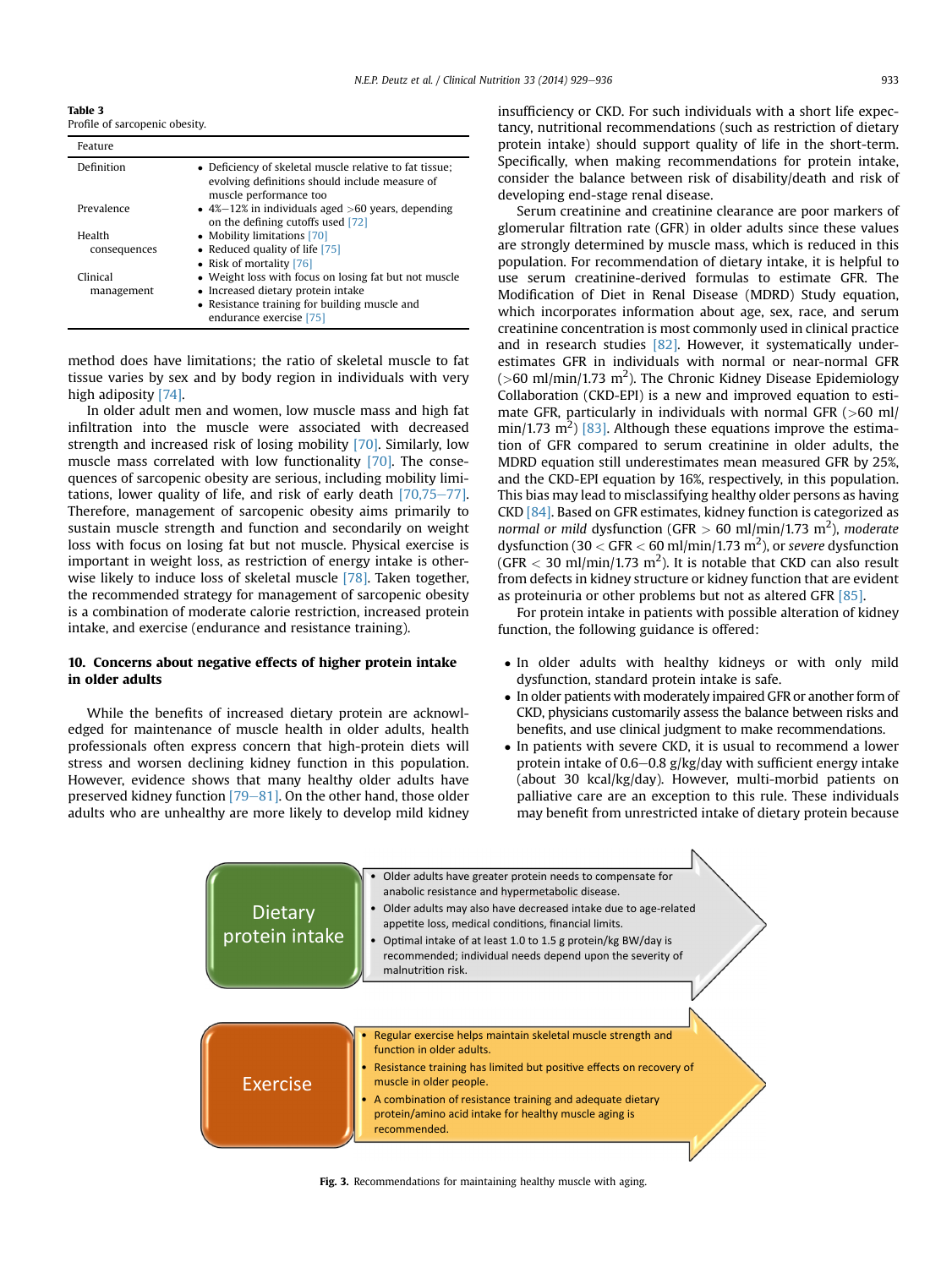<span id="page-4-0"></span>Table 3 Profile of sarcopenic obesity.

| Feature                |                                                                                                                                                                         |
|------------------------|-------------------------------------------------------------------------------------------------------------------------------------------------------------------------|
| Definition             | • Deficiency of skeletal muscle relative to fat tissue;<br>evolving definitions should include measure of<br>muscle performance too                                     |
| Prevalence             | • $4\% - 12\%$ in individuals aged $>60$ years, depending<br>on the defining cutoffs used [72]                                                                          |
| Health<br>consequences | • Mobility limitations [70]<br>• Reduced quality of life [75]<br>• Risk of mortality [76]                                                                               |
| Clinical<br>management | • Weight loss with focus on losing fat but not muscle<br>• Increased dietary protein intake<br>• Resistance training for building muscle and<br>endurance exercise [75] |

method does have limitations; the ratio of skeletal muscle to fat tissue varies by sex and by body region in individuals with very high adiposity [\[74\].](#page-6-0)

In older adult men and women, low muscle mass and high fat infiltration into the muscle were associated with decreased strength and increased risk of losing mobility [\[70\].](#page-6-0) Similarly, low muscle mass correlated with low functionality [\[70\]](#page-6-0). The consequences of sarcopenic obesity are serious, including mobility limitations, lower quality of life, and risk of early death  $[70,75-77]$  $[70,75-77]$ . Therefore, management of sarcopenic obesity aims primarily to sustain muscle strength and function and secondarily on weight loss with focus on losing fat but not muscle. Physical exercise is important in weight loss, as restriction of energy intake is other-wise likely to induce loss of skeletal muscle [\[78\]](#page-6-0). Taken together, the recommended strategy for management of sarcopenic obesity is a combination of moderate calorie restriction, increased protein intake, and exercise (endurance and resistance training).

# 10. Concerns about negative effects of higher protein intake in older adults

While the benefits of increased dietary protein are acknowledged for maintenance of muscle health in older adults, health professionals often express concern that high-protein diets will stress and worsen declining kidney function in this population. However, evidence shows that many healthy older adults have preserved kidney function  $[79-81]$  $[79-81]$  $[79-81]$ . On the other hand, those older adults who are unhealthy are more likely to develop mild kidney insufficiency or CKD. For such individuals with a short life expectancy, nutritional recommendations (such as restriction of dietary protein intake) should support quality of life in the short-term. Specifically, when making recommendations for protein intake, consider the balance between risk of disability/death and risk of developing end-stage renal disease.

Serum creatinine and creatinine clearance are poor markers of glomerular filtration rate (GFR) in older adults since these values are strongly determined by muscle mass, which is reduced in this population. For recommendation of dietary intake, it is helpful to use serum creatinine-derived formulas to estimate GFR. The Modification of Diet in Renal Disease (MDRD) Study equation, which incorporates information about age, sex, race, and serum creatinine concentration is most commonly used in clinical practice and in research studies [\[82\].](#page-6-0) However, it systematically underestimates GFR in individuals with normal or near-normal GFR  $($ >60 ml/min/1.73 m<sup>2</sup>). The Chronic Kidney Disease Epidemiology Collaboration (CKD-EPI) is a new and improved equation to estimate GFR, particularly in individuals with normal GFR (>60 ml/  $min/1.73$   $m^2$ ) [\[83\].](#page-6-0) Although these equations improve the estimation of GFR compared to serum creatinine in older adults, the MDRD equation still underestimates mean measured GFR by 25%, and the CKD-EPI equation by 16%, respectively, in this population. This bias may lead to misclassifying healthy older persons as having CKD [\[84\].](#page-6-0) Based on GFR estimates, kidney function is categorized as normal or mild dysfunction (GFR  $> 60$  ml/min/1.73 m<sup>2</sup>), moderate dysfunction (30  $<$  GFR  $<$  60 ml/min/1.73 m<sup>2</sup>), or severe dysfunction (GFR  $<$  30 ml/min/1.73 m<sup>2</sup>). It is notable that CKD can also result from defects in kidney structure or kidney function that are evident as proteinuria or other problems but not as altered GFR [\[85\]](#page-6-0).

For protein intake in patients with possible alteration of kidney function, the following guidance is offered:

- In older adults with healthy kidneys or with only mild dysfunction, standard protein intake is safe.
- In older patients with moderately impaired GFR or another form of CKD, physicians customarily assess the balance between risks and benefits, and use clinical judgment to make recommendations.
- In patients with severe CKD, it is usual to recommend a lower protein intake of  $0.6-0.8$  g/kg/day with sufficient energy intake (about 30 kcal/kg/day). However, multi-morbid patients on palliative care are an exception to this rule. These individuals may benefit from unrestricted intake of dietary protein because



Fig. 3. Recommendations for maintaining healthy muscle with aging.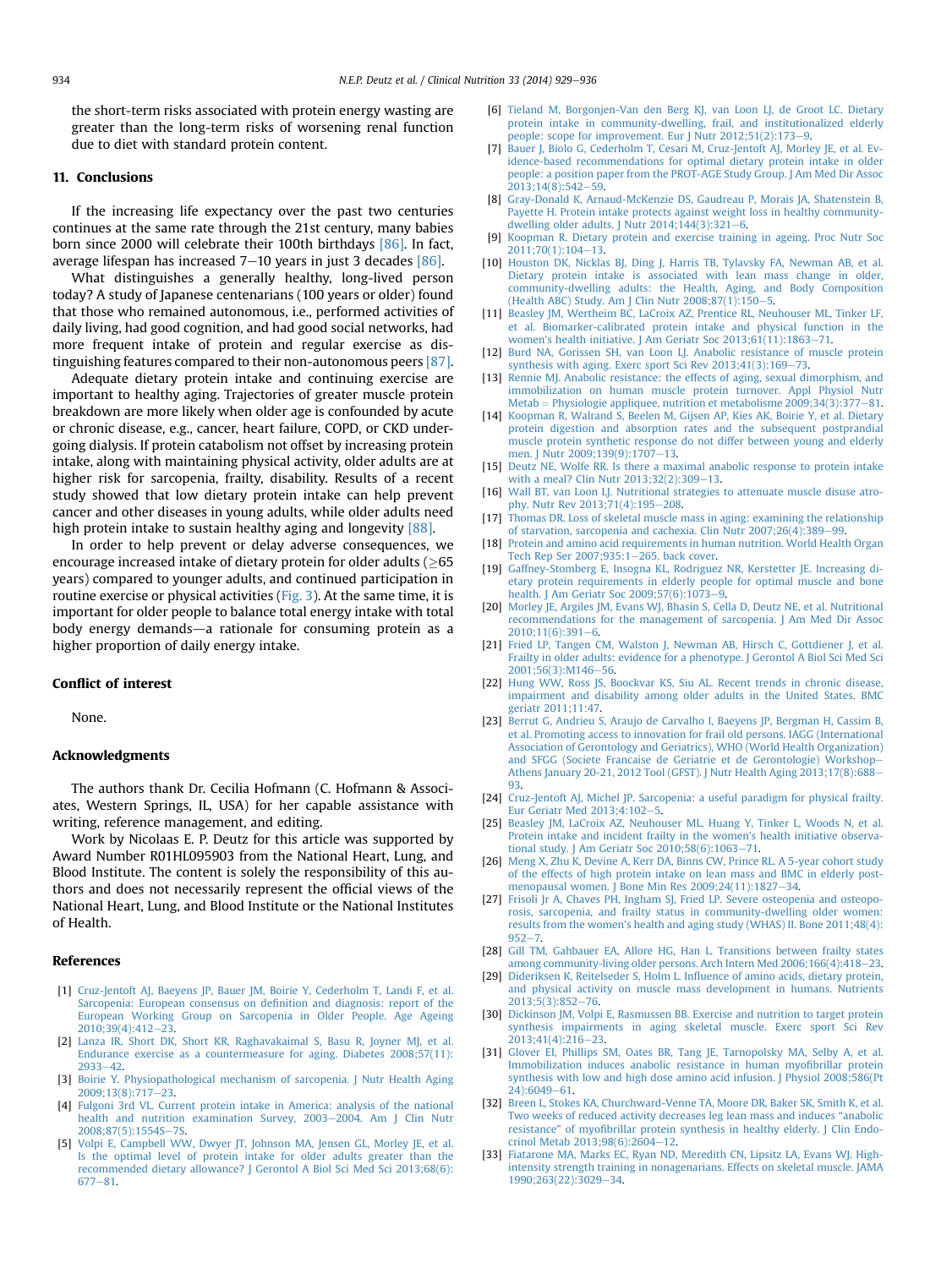<span id="page-5-0"></span>the short-term risks associated with protein energy wasting are greater than the long-term risks of worsening renal function due to diet with standard protein content.

# 11. Conclusions

If the increasing life expectancy over the past two centuries continues at the same rate through the 21st century, many babies born since 2000 will celebrate their 100th birthdays [\[86\].](#page-6-0) In fact, average lifespan has increased  $7-10$  years in just 3 decades  $[86]$ .

What distinguishes a generally healthy, long-lived person today? A study of Japanese centenarians (100 years or older) found that those who remained autonomous, i.e., performed activities of daily living, had good cognition, and had good social networks, had more frequent intake of protein and regular exercise as distinguishing features compared to their non-autonomous peers [\[87\].](#page-6-0)

Adequate dietary protein intake and continuing exercise are important to healthy aging. Trajectories of greater muscle protein breakdown are more likely when older age is confounded by acute or chronic disease, e.g., cancer, heart failure, COPD, or CKD undergoing dialysis. If protein catabolism not offset by increasing protein intake, along with maintaining physical activity, older adults are at higher risk for sarcopenia, frailty, disability. Results of a recent study showed that low dietary protein intake can help prevent cancer and other diseases in young adults, while older adults need high protein intake to sustain healthy aging and longevity [\[88\].](#page-7-0)

In order to help prevent or delay adverse consequences, we encourage increased intake of dietary protein for older adults  $(>\,65$ years) compared to younger adults, and continued participation in routine exercise or physical activities [\(Fig. 3\)](#page-4-0). At the same time, it is important for older people to balance total energy intake with total body energy demands-a rationale for consuming protein as a higher proportion of daily energy intake.

#### Conflict of interest

None.

#### Acknowledgments

The authors thank Dr. Cecilia Hofmann (C. Hofmann & Associates, Western Springs, IL, USA) for her capable assistance with writing, reference management, and editing.

Work by Nicolaas E. P. Deutz for this article was supported by Award Number R01HL095903 from the National Heart, Lung, and Blood Institute. The content is solely the responsibility of this authors and does not necessarily represent the official views of the National Heart, Lung, and Blood Institute or the National Institutes of Health.

# References

- [1] [Cruz-Jentoft AJ, Baeyens JP, Bauer JM, Boirie Y, Cederholm T, Landi F, et al.](http://refhub.elsevier.com/S0261-5614(14)00111-3/sref1) [Sarcopenia: European consensus on de](http://refhub.elsevier.com/S0261-5614(14)00111-3/sref1)finition and diagnosis: report of the [European Working Group on Sarcopenia in Older People. Age Ageing](http://refhub.elsevier.com/S0261-5614(14)00111-3/sref1) [2010;39\(4\):412](http://refhub.elsevier.com/S0261-5614(14)00111-3/sref1)-[23.](http://refhub.elsevier.com/S0261-5614(14)00111-3/sref1)
- [2] [Lanza IR, Short DK, Short KR, Raghavakaimal S, Basu R, Joyner MJ, et al.](http://refhub.elsevier.com/S0261-5614(14)00111-3/sref2) [Endurance exercise as a countermeasure for aging. Diabetes 2008;57\(11\):](http://refhub.elsevier.com/S0261-5614(14)00111-3/sref2)  $7933 - 42.$  $7933 - 42.$  $7933 - 42.$
- [3] [Boirie Y. Physiopathological mechanism of sarcopenia. J Nutr Health Aging](http://refhub.elsevier.com/S0261-5614(14)00111-3/sref3) 2009:13(8):717-[23.](http://refhub.elsevier.com/S0261-5614(14)00111-3/sref3)
- [4] [Fulgoni 3rd VL. Current protein intake in America: analysis of the national](http://refhub.elsevier.com/S0261-5614(14)00111-3/sref4) [health and nutrition examination Survey, 2003](http://refhub.elsevier.com/S0261-5614(14)00111-3/sref4)-[2004. Am J Clin Nutr](http://refhub.elsevier.com/S0261-5614(14)00111-3/sref4) [2008;87\(5\):1554S](http://refhub.elsevier.com/S0261-5614(14)00111-3/sref4)-7S
- [5] [Volpi E, Campbell WW, Dwyer JT, Johnson MA, Jensen GL, Morley JE, et al.](http://refhub.elsevier.com/S0261-5614(14)00111-3/sref5) [Is the optimal level of protein intake for older adults greater than the](http://refhub.elsevier.com/S0261-5614(14)00111-3/sref5) [recommended dietary allowance? J Gerontol A Biol Sci Med Sci 2013;68\(6\):](http://refhub.elsevier.com/S0261-5614(14)00111-3/sref5)  $677 - 81.$  $677 - 81.$  $677 - 81.$
- [6] [Tieland M, Borgonjen-Van den Berg KJ, van Loon LJ, de Groot LC. Dietary](http://refhub.elsevier.com/S0261-5614(14)00111-3/sref6) [protein intake in community-dwelling, frail, and institutionalized elderly](http://refhub.elsevier.com/S0261-5614(14)00111-3/sref6) eople: scope for improvement. Eur J Nutr 2012:51(2):173-[9.](http://refhub.elsevier.com/S0261-5614(14)00111-3/sref6)
- [7] [Bauer J, Biolo G, Cederholm T, Cesari M, Cruz-Jentoft AJ, Morley JE, et al. Ev](http://refhub.elsevier.com/S0261-5614(14)00111-3/sref7)[idence-based recommendations for optimal dietary protein intake in older](http://refhub.elsevier.com/S0261-5614(14)00111-3/sref7) [people: a position paper from the PROT-AGE Study Group. J Am Med Dir Assoc](http://refhub.elsevier.com/S0261-5614(14)00111-3/sref7)  $2013;14(8):542-59.$  $2013;14(8):542-59.$  $2013;14(8):542-59.$
- [8] [Gray-Donald K, Arnaud-McKenzie DS, Gaudreau P, Morais JA, Shatenstein B,](http://refhub.elsevier.com/S0261-5614(14)00111-3/sref8) [Payette H. Protein intake protects against weight loss in healthy community](http://refhub.elsevier.com/S0261-5614(14)00111-3/sref8)dwelling older adults. J Nutr  $2014$ ;  $144(3)$ :  $321-6$ .
- [9] [Koopman R. Dietary protein and exercise training in ageing. Proc Nutr Soc](http://refhub.elsevier.com/S0261-5614(14)00111-3/sref9)  $2011;70(1):104-13.$  $2011;70(1):104-13.$  $2011;70(1):104-13.$
- [10] [Houston DK, Nicklas BJ, Ding J, Harris TB, Tylavsky FA, Newman AB, et al.](http://refhub.elsevier.com/S0261-5614(14)00111-3/sref10) [Dietary protein intake is associated with lean mass change in older,](http://refhub.elsevier.com/S0261-5614(14)00111-3/sref10) [community-dwelling adults: the Health, Aging, and Body Composition](http://refhub.elsevier.com/S0261-5614(14)00111-3/sref10) (Health ABC) Study. Am I Clin Nutr 2008:87(1):150-[5.](http://refhub.elsevier.com/S0261-5614(14)00111-3/sref10)
- [11] [Beasley JM, Wertheim BC, LaCroix AZ, Prentice RL, Neuhouser ML, Tinker LF,](http://refhub.elsevier.com/S0261-5614(14)00111-3/sref11) [et al. Biomarker-calibrated protein intake and physical function in the](http://refhub.elsevier.com/S0261-5614(14)00111-3/sref11) women's health initiative. J Am Geriatr Soc 2013; $\hat{\mathfrak{sl}}(11)$ :1863–[71.](http://refhub.elsevier.com/S0261-5614(14)00111-3/sref11)
- [12] [Burd NA, Gorissen SH, van Loon LJ. Anabolic resistance of muscle protein](http://refhub.elsevier.com/S0261-5614(14)00111-3/sref12) [synthesis with aging. Exerc sport Sci Rev 2013;41\(3\):169](http://refhub.elsevier.com/S0261-5614(14)00111-3/sref12)-[73.](http://refhub.elsevier.com/S0261-5614(14)00111-3/sref12)
- [13] [Rennie MJ. Anabolic resistance: the effects of aging, sexual dimorphism, and](http://refhub.elsevier.com/S0261-5614(14)00111-3/sref13) [immobilization on human muscle protein turnover. Appl Physiol Nutr](http://refhub.elsevier.com/S0261-5614(14)00111-3/sref13) [Metab](http://refhub.elsevier.com/S0261-5614(14)00111-3/sref13) = Physiologie appliquee, nutrition et metabolisme  $2009;34(3):377-81$  $2009;34(3):377-81$ .
- [14] [Koopman R, Walrand S, Beelen M, Gijsen AP, Kies AK, Boirie Y, et al. Dietary](http://refhub.elsevier.com/S0261-5614(14)00111-3/sref14) [protein digestion and absorption rates and the subsequent postprandial](http://refhub.elsevier.com/S0261-5614(14)00111-3/sref14) [muscle protein synthetic response do not differ between young and elderly](http://refhub.elsevier.com/S0261-5614(14)00111-3/sref14) [men. J Nutr 2009;139\(9\):1707](http://refhub.elsevier.com/S0261-5614(14)00111-3/sref14)-[13](http://refhub.elsevier.com/S0261-5614(14)00111-3/sref14).
- [15] [Deutz NE, Wolfe RR. Is there a maximal anabolic response to protein intake](http://refhub.elsevier.com/S0261-5614(14)00111-3/sref15) [with a meal? Clin Nutr 2013;32\(2\):309](http://refhub.elsevier.com/S0261-5614(14)00111-3/sref15)-[13](http://refhub.elsevier.com/S0261-5614(14)00111-3/sref15).
- [16] [Wall BT, van Loon LJ. Nutritional strategies to attenuate muscle disuse atro](http://refhub.elsevier.com/S0261-5614(14)00111-3/sref16)[phy. Nutr Rev 2013;71\(4\):195](http://refhub.elsevier.com/S0261-5614(14)00111-3/sref16)-[208](http://refhub.elsevier.com/S0261-5614(14)00111-3/sref16).
- [17] [Thomas DR. Loss of skeletal muscle mass in aging: examining the relationship](http://refhub.elsevier.com/S0261-5614(14)00111-3/sref17) [of starvation, sarcopenia and cachexia. Clin Nutr 2007;26\(4\):389](http://refhub.elsevier.com/S0261-5614(14)00111-3/sref17)-[99](http://refhub.elsevier.com/S0261-5614(14)00111-3/sref17).
- [18] [Protein and amino acid requirements in human nutrition. World Health Organ](http://refhub.elsevier.com/S0261-5614(14)00111-3/sref18) [Tech Rep Ser 2007;935:1](http://refhub.elsevier.com/S0261-5614(14)00111-3/sref18)-[265. back cover.](http://refhub.elsevier.com/S0261-5614(14)00111-3/sref18)
- [19] [Gaffney-Stomberg E, Insogna KL, Rodriguez NR, Kerstetter JE. Increasing di](http://refhub.elsevier.com/S0261-5614(14)00111-3/sref19)[etary protein requirements in elderly people for optimal muscle and bone](http://refhub.elsevier.com/S0261-5614(14)00111-3/sref19) [health. J Am Geriatr Soc 2009;57\(6\):1073](http://refhub.elsevier.com/S0261-5614(14)00111-3/sref19)-[9.](http://refhub.elsevier.com/S0261-5614(14)00111-3/sref19)
- [20] [Morley JE, Argiles JM, Evans WJ, Bhasin S, Cella D, Deutz NE, et al. Nutritional](http://refhub.elsevier.com/S0261-5614(14)00111-3/sref20) [recommendations for the management of sarcopenia. J Am Med Dir Assoc](http://refhub.elsevier.com/S0261-5614(14)00111-3/sref20)  $2010:11(6):391-6.$  $2010:11(6):391-6.$  $2010:11(6):391-6.$
- [21] [Fried LP, Tangen CM, Walston J, Newman AB, Hirsch C, Gottdiener J, et al.](http://refhub.elsevier.com/S0261-5614(14)00111-3/sref21) [Frailty in older adults: evidence for a phenotype. J Gerontol A Biol Sci Med Sci](http://refhub.elsevier.com/S0261-5614(14)00111-3/sref21) [2001;56\(3\):M146](http://refhub.elsevier.com/S0261-5614(14)00111-3/sref21)-[56](http://refhub.elsevier.com/S0261-5614(14)00111-3/sref21).
- [22] [Hung WW, Ross JS, Boockvar KS, Siu AL. Recent trends in chronic disease,](http://refhub.elsevier.com/S0261-5614(14)00111-3/sref22) [impairment and disability among older adults in the United States. BMC](http://refhub.elsevier.com/S0261-5614(14)00111-3/sref22) [geriatr 2011;11:47](http://refhub.elsevier.com/S0261-5614(14)00111-3/sref22).
- [23] [Berrut G, Andrieu S, Araujo de Carvalho I, Baeyens JP, Bergman H, Cassim B,](http://refhub.elsevier.com/S0261-5614(14)00111-3/sref23) [et al. Promoting access to innovation for frail old persons. IAGG \(International](http://refhub.elsevier.com/S0261-5614(14)00111-3/sref23) [Association of Gerontology and Geriatrics\), WHO \(World Health Organization\)](http://refhub.elsevier.com/S0261-5614(14)00111-3/sref23) [and SFGG \(Societe Francaise de Geriatrie et de Gerontologie\) Workshop](http://refhub.elsevier.com/S0261-5614(14)00111-3/sref23)-[Athens January 20-21, 2012 Tool \(GFST\). J Nutr Health Aging 2013;17\(8\):688](http://refhub.elsevier.com/S0261-5614(14)00111-3/sref23)-[93.](http://refhub.elsevier.com/S0261-5614(14)00111-3/sref23)
- [24] [Cruz-Jentoft AJ, Michel JP. Sarcopenia: a useful paradigm for physical frailty.](http://refhub.elsevier.com/S0261-5614(14)00111-3/sref24) [Eur Geriatr Med 2013;4:102](http://refhub.elsevier.com/S0261-5614(14)00111-3/sref24)-[5](http://refhub.elsevier.com/S0261-5614(14)00111-3/sref24).
- [25] [Beasley JM, LaCroix AZ, Neuhouser ML, Huang Y, Tinker L, Woods N, et al.](http://refhub.elsevier.com/S0261-5614(14)00111-3/sref25) [Protein intake and incident frailty in the women](http://refhub.elsevier.com/S0261-5614(14)00111-3/sref25)'s health initiative observational study. J Am Geriatr Soc  $2010;58(6):1063-71$ .
- [26] [Meng X, Zhu K, Devine A, Kerr DA, Binns CW, Prince RL. A 5-year cohort study](http://refhub.elsevier.com/S0261-5614(14)00111-3/sref26) [of the effects of high protein intake on lean mass and BMC in elderly post](http://refhub.elsevier.com/S0261-5614(14)00111-3/sref26)menopausal women. J Bone Min Res  $2009:24(11):1827-34$
- [27] [Frisoli Jr A, Chaves PH, Ingham SJ, Fried LP. Severe osteopenia and osteopo](http://refhub.elsevier.com/S0261-5614(14)00111-3/sref27)[rosis, sarcopenia, and frailty status in community-dwelling older women:](http://refhub.elsevier.com/S0261-5614(14)00111-3/sref27) results from the women'[s health and aging study \(WHAS\) II. Bone 2011;48\(4\):](http://refhub.elsevier.com/S0261-5614(14)00111-3/sref27)  $952 - 7.$  $952 - 7.$  $952 - 7.$  $952 - 7.$
- [28] [Gill TM, Gahbauer EA, Allore HG, Han L. Transitions between frailty states](http://refhub.elsevier.com/S0261-5614(14)00111-3/sref28) [among community-living older persons. Arch Intern Med 2006;166\(4\):418](http://refhub.elsevier.com/S0261-5614(14)00111-3/sref28)-[23](http://refhub.elsevier.com/S0261-5614(14)00111-3/sref28).
- [29] [Dideriksen K, Reitelseder S, Holm L. In](http://refhub.elsevier.com/S0261-5614(14)00111-3/sref29)fluence of amino acids, dietary protein, [and physical activity on muscle mass development in humans. Nutrients](http://refhub.elsevier.com/S0261-5614(14)00111-3/sref29) [2013;5\(3\):852](http://refhub.elsevier.com/S0261-5614(14)00111-3/sref29)-[76](http://refhub.elsevier.com/S0261-5614(14)00111-3/sref29).
- [30] [Dickinson JM, Volpi E, Rasmussen BB. Exercise and nutrition to target protein](http://refhub.elsevier.com/S0261-5614(14)00111-3/sref30) [synthesis impairments in aging skeletal muscle. Exerc sport Sci Rev](http://refhub.elsevier.com/S0261-5614(14)00111-3/sref30)  $2013;41(4):216-23.$  $2013;41(4):216-23.$  $2013;41(4):216-23.$  $2013;41(4):216-23.$
- [31] [Glover EI, Phillips SM, Oates BR, Tang JE, Tarnopolsky MA, Selby A, et al.](http://refhub.elsevier.com/S0261-5614(14)00111-3/sref31) [Immobilization induces anabolic resistance in human myo](http://refhub.elsevier.com/S0261-5614(14)00111-3/sref31)fibrillar protein [synthesis with low and high dose amino acid infusion. J Physiol 2008;586\(Pt](http://refhub.elsevier.com/S0261-5614(14)00111-3/sref31) [24\):6049](http://refhub.elsevier.com/S0261-5614(14)00111-3/sref31)-[61](http://refhub.elsevier.com/S0261-5614(14)00111-3/sref31).
- [32] [Breen L, Stokes KA, Churchward-Venne TA, Moore DR, Baker SK, Smith K, et al.](http://refhub.elsevier.com/S0261-5614(14)00111-3/sref32) [Two weeks of reduced activity decreases leg lean mass and induces](http://refhub.elsevier.com/S0261-5614(14)00111-3/sref32) "anabolic resistance" of myofi[brillar protein synthesis in healthy elderly. J Clin Endo](http://refhub.elsevier.com/S0261-5614(14)00111-3/sref32)[crinol Metab 2013;98\(6\):2604](http://refhub.elsevier.com/S0261-5614(14)00111-3/sref32)-[12.](http://refhub.elsevier.com/S0261-5614(14)00111-3/sref32)
- [33] Fiatarone MA, Marks EC, Ryan ND, Meredith CN, Lipsitz LA, Evans WJ, High[intensity strength training in nonagenarians. Effects on skeletal muscle. JAMA](http://refhub.elsevier.com/S0261-5614(14)00111-3/sref33) [1990;263\(22\):3029](http://refhub.elsevier.com/S0261-5614(14)00111-3/sref33)-[34](http://refhub.elsevier.com/S0261-5614(14)00111-3/sref33).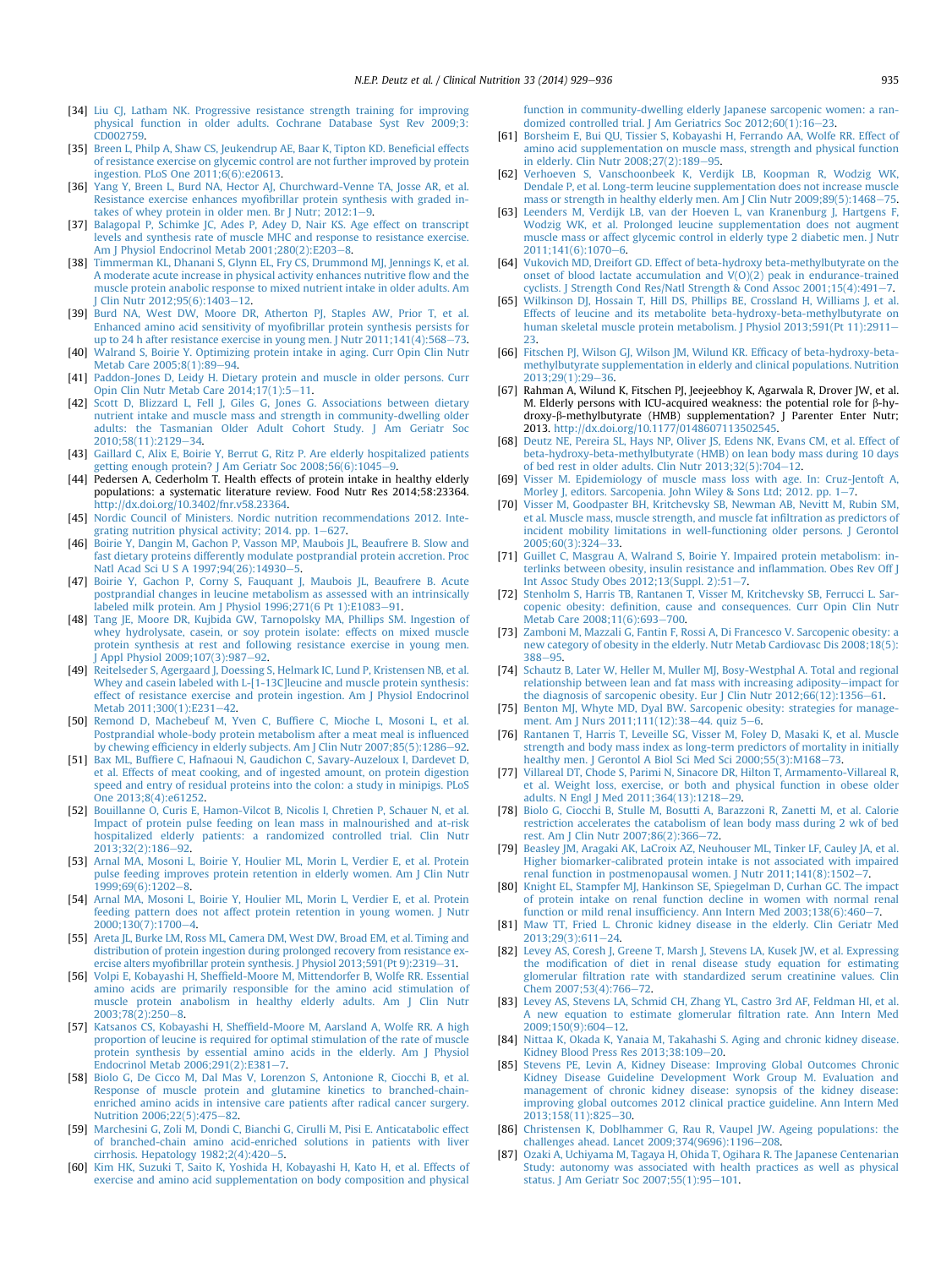- <span id="page-6-0"></span>[34] [Liu CJ, Latham NK. Progressive resistance strength training for improving](http://refhub.elsevier.com/S0261-5614(14)00111-3/sref34) [physical function in older adults. Cochrane Database Syst Rev 2009;3:](http://refhub.elsevier.com/S0261-5614(14)00111-3/sref34) [CD002759](http://refhub.elsevier.com/S0261-5614(14)00111-3/sref34).
- [35] [Breen L, Philp A, Shaw CS, Jeukendrup AE, Baar K, Tipton KD. Bene](http://refhub.elsevier.com/S0261-5614(14)00111-3/sref35)ficial effects [of resistance exercise on glycemic control are not further improved by protein](http://refhub.elsevier.com/S0261-5614(14)00111-3/sref35) [ingestion. PLoS One 2011;6\(6\):e20613.](http://refhub.elsevier.com/S0261-5614(14)00111-3/sref35)
- [36] [Yang Y, Breen L, Burd NA, Hector AJ, Churchward-Venne TA, Josse AR, et al.](http://refhub.elsevier.com/S0261-5614(14)00111-3/sref36) Resistance exercise enhances myofi[brillar protein synthesis with graded in](http://refhub.elsevier.com/S0261-5614(14)00111-3/sref36)takes of whey protein in older men. Br J Nutr:  $2012:1-9$ .
- [37] Balagopal P, Schimke JC, Ades P, Adey D, Nair KS, Age effect on transcript [levels and synthesis rate of muscle MHC and response to resistance exercise.](http://refhub.elsevier.com/S0261-5614(14)00111-3/sref37) Am J Physiol Endocrinol Metab  $2001;280(2):E203-8$ .
- [38] [Timmerman KL, Dhanani S, Glynn EL, Fry CS, Drummond MJ, Jennings K, et al.](http://refhub.elsevier.com/S0261-5614(14)00111-3/sref38) [A moderate acute increase in physical activity enhances nutritive](http://refhub.elsevier.com/S0261-5614(14)00111-3/sref38) flow and the [muscle protein anabolic response to mixed nutrient intake in older adults. Am](http://refhub.elsevier.com/S0261-5614(14)00111-3/sref38) I Clin Nutr 2012;95(6):1403-[12.](http://refhub.elsevier.com/S0261-5614(14)00111-3/sref38)
- [39] [Burd NA, West DW, Moore DR, Atherton PJ, Staples AW, Prior T, et al.](http://refhub.elsevier.com/S0261-5614(14)00111-3/sref39) [Enhanced amino acid sensitivity of myo](http://refhub.elsevier.com/S0261-5614(14)00111-3/sref39)fibrillar protein synthesis persists for up to 24 h after resistance exercise in young men. J Nutr  $2011;141(4):568-73$  $2011;141(4):568-73$ .
- [40] [Walrand S, Boirie Y. Optimizing protein intake in aging. Curr Opin Clin Nutr](http://refhub.elsevier.com/S0261-5614(14)00111-3/sref40) Metab Care  $2005:8(1):89-94$  $2005:8(1):89-94$
- [41] [Paddon-Jones D, Leidy H. Dietary protein and muscle in older persons. Curr](http://refhub.elsevier.com/S0261-5614(14)00111-3/sref41) Opin Clin Nutr Metab Care  $2014;17(1):5-11$  $2014;17(1):5-11$ .
- [42] [Scott D, Blizzard L, Fell J, Giles G, Jones G. Associations between dietary](http://refhub.elsevier.com/S0261-5614(14)00111-3/sref42) [nutrient intake and muscle mass and strength in community-dwelling older](http://refhub.elsevier.com/S0261-5614(14)00111-3/sref42) [adults: the Tasmanian Older Adult Cohort Study. J Am Geriatr Soc](http://refhub.elsevier.com/S0261-5614(14)00111-3/sref42)  $2010:58(11):2129-34$  $2010:58(11):2129-34$
- [43] [Gaillard C, Alix E, Boirie Y, Berrut G, Ritz P. Are elderly hospitalized patients](http://refhub.elsevier.com/S0261-5614(14)00111-3/sref43) getting enough protein? J Am Geriatr Soc  $2008;56(6):1045-9$ .
- [44] Pedersen A, Cederholm T. Health effects of protein intake in healthy elderly populations: a systematic literature review. Food Nutr Res 2014;58:23364. [http://dx.doi.org/10.3402/fnr.v58.23364.](http://dx.doi.org/10.3402/fnr.v58.23364)
- [45] [Nordic Council of Ministers. Nordic nutrition recommendations 2012. Inte](http://refhub.elsevier.com/S0261-5614(14)00111-3/sref45)grating nutrition physical activity;  $2014$ . pp.  $1-627$  $1-627$ .
- [46] [Boirie Y, Dangin M, Gachon P, Vasson MP, Maubois JL, Beaufrere B. Slow and](http://refhub.elsevier.com/S0261-5614(14)00111-3/sref46) [fast dietary proteins differently modulate postprandial protein accretion. Proc](http://refhub.elsevier.com/S0261-5614(14)00111-3/sref46) [Natl Acad Sci U S A 1997;94\(26\):14930](http://refhub.elsevier.com/S0261-5614(14)00111-3/sref46)-[5.](http://refhub.elsevier.com/S0261-5614(14)00111-3/sref46)
- [47] [Boirie Y, Gachon P, Corny S, Fauquant J, Maubois JL, Beaufrere B. Acute](http://refhub.elsevier.com/S0261-5614(14)00111-3/sref47) [postprandial changes in leucine metabolism as assessed with an intrinsically](http://refhub.elsevier.com/S0261-5614(14)00111-3/sref47) [labeled milk protein. Am J Physiol 1996;271\(6 Pt 1\):E1083](http://refhub.elsevier.com/S0261-5614(14)00111-3/sref47)-[91](http://refhub.elsevier.com/S0261-5614(14)00111-3/sref47).
- [48] [Tang JE, Moore DR, Kujbida GW, Tarnopolsky MA, Phillips SM. Ingestion of](http://refhub.elsevier.com/S0261-5614(14)00111-3/sref48) [whey hydrolysate, casein, or soy protein isolate: effects on mixed muscle](http://refhub.elsevier.com/S0261-5614(14)00111-3/sref48) [protein synthesis at rest and following resistance exercise in young men.](http://refhub.elsevier.com/S0261-5614(14)00111-3/sref48) Appl Physiol 2009;107(3):987-[92](http://refhub.elsevier.com/S0261-5614(14)00111-3/sref48).
- [49] [Reitelseder S, Agergaard J, Doessing S, Helmark IC, Lund P, Kristensen NB, et al.](http://refhub.elsevier.com/S0261-5614(14)00111-3/sref49) [Whey and casein labeled with L-\[1-13C\]leucine and muscle protein synthesis:](http://refhub.elsevier.com/S0261-5614(14)00111-3/sref49) [effect of resistance exercise and protein ingestion. Am J Physiol Endocrinol](http://refhub.elsevier.com/S0261-5614(14)00111-3/sref49) Metab 2011:300(1):E231-[42.](http://refhub.elsevier.com/S0261-5614(14)00111-3/sref49)
- [50] [Remond D, Machebeuf M, Yven C, Buf](http://refhub.elsevier.com/S0261-5614(14)00111-3/sref50)fiere C, Mioche L, Mosoni L, et al. [Postprandial whole-body protein metabolism after a meat meal is in](http://refhub.elsevier.com/S0261-5614(14)00111-3/sref50)fluenced by chewing effi[ciency in elderly subjects. Am J Clin Nutr 2007;85\(5\):1286](http://refhub.elsevier.com/S0261-5614(14)00111-3/sref50)-[92](http://refhub.elsevier.com/S0261-5614(14)00111-3/sref50).
- [51] Bax ML, Buffi[ere C, Hafnaoui N, Gaudichon C, Savary-Auzeloux I, Dardevet D,](http://refhub.elsevier.com/S0261-5614(14)00111-3/sref51) [et al. Effects of meat cooking, and of ingested amount, on protein digestion](http://refhub.elsevier.com/S0261-5614(14)00111-3/sref51) [speed and entry of residual proteins into the colon: a study in minipigs. PLoS](http://refhub.elsevier.com/S0261-5614(14)00111-3/sref51) [One 2013;8\(4\):e61252.](http://refhub.elsevier.com/S0261-5614(14)00111-3/sref51)
- [52] [Bouillanne O, Curis E, Hamon-Vilcot B, Nicolis I, Chretien P, Schauer N, et al.](http://refhub.elsevier.com/S0261-5614(14)00111-3/sref52) [Impact of protein pulse feeding on lean mass in malnourished and at-risk](http://refhub.elsevier.com/S0261-5614(14)00111-3/sref52) [hospitalized elderly patients: a randomized controlled trial. Clin Nutr](http://refhub.elsevier.com/S0261-5614(14)00111-3/sref52) [2013;32\(2\):186](http://refhub.elsevier.com/S0261-5614(14)00111-3/sref52)-[92.](http://refhub.elsevier.com/S0261-5614(14)00111-3/sref52)
- [53] [Arnal MA, Mosoni L, Boirie Y, Houlier ML, Morin L, Verdier E, et al. Protein](http://refhub.elsevier.com/S0261-5614(14)00111-3/sref53) [pulse feeding improves protein retention in elderly women. Am J Clin Nutr](http://refhub.elsevier.com/S0261-5614(14)00111-3/sref53)  $1999:69(6):1202-8.$  $1999:69(6):1202-8.$
- [54] [Arnal MA, Mosoni L, Boirie Y, Houlier ML, Morin L, Verdier E, et al. Protein](http://refhub.elsevier.com/S0261-5614(14)00111-3/sref54) [feeding pattern does not affect protein retention in young women. J Nutr](http://refhub.elsevier.com/S0261-5614(14)00111-3/sref54) 2000:130(7):1700-[4.](http://refhub.elsevier.com/S0261-5614(14)00111-3/sref54)
- [55] [Areta JL, Burke LM, Ross ML, Camera DM, West DW, Broad EM, et al. Timing and](http://refhub.elsevier.com/S0261-5614(14)00111-3/sref55) [distribution of protein ingestion during prolonged recovery from resistance ex](http://refhub.elsevier.com/S0261-5614(14)00111-3/sref55)ercise alters myofi[brillar protein synthesis. J Physiol 2013;591\(Pt 9\):2319](http://refhub.elsevier.com/S0261-5614(14)00111-3/sref55)-[31](http://refhub.elsevier.com/S0261-5614(14)00111-3/sref55).
- [56] Volpi E, Kobayashi H, Sheffi[eld-Moore M, Mittendorfer B, Wolfe RR. Essential](http://refhub.elsevier.com/S0261-5614(14)00111-3/sref56) [amino acids are primarily responsible for the amino acid stimulation of](http://refhub.elsevier.com/S0261-5614(14)00111-3/sref56) [muscle protein anabolism in healthy elderly adults. Am J Clin Nutr](http://refhub.elsevier.com/S0261-5614(14)00111-3/sref56)  $2003:78(2):250-8.$  $2003:78(2):250-8.$
- [57] Katsanos CS, Kobayashi H, Sheffi[eld-Moore M, Aarsland A, Wolfe RR. A high](http://refhub.elsevier.com/S0261-5614(14)00111-3/sref57) [proportion of leucine is required for optimal stimulation of the rate of muscle](http://refhub.elsevier.com/S0261-5614(14)00111-3/sref57) [protein synthesis by essential amino acids in the elderly. Am J Physiol](http://refhub.elsevier.com/S0261-5614(14)00111-3/sref57) [Endocrinol Metab 2006;291\(2\):E381](http://refhub.elsevier.com/S0261-5614(14)00111-3/sref57)-[7.](http://refhub.elsevier.com/S0261-5614(14)00111-3/sref57)
- [58] [Biolo G, De Cicco M, Dal Mas V, Lorenzon S, Antonione R, Ciocchi B, et al.](http://refhub.elsevier.com/S0261-5614(14)00111-3/sref58) [Response of muscle protein and glutamine kinetics to branched-chain](http://refhub.elsevier.com/S0261-5614(14)00111-3/sref58)[enriched amino acids in intensive care patients after radical cancer surgery.](http://refhub.elsevier.com/S0261-5614(14)00111-3/sref58) [Nutrition 2006;22\(5\):475](http://refhub.elsevier.com/S0261-5614(14)00111-3/sref58)-[82.](http://refhub.elsevier.com/S0261-5614(14)00111-3/sref58)
- [59] [Marchesini G, Zoli M, Dondi C, Bianchi G, Cirulli M, Pisi E. Anticatabolic effect](http://refhub.elsevier.com/S0261-5614(14)00111-3/sref59) [of branched-chain amino acid-enriched solutions in patients with liver](http://refhub.elsevier.com/S0261-5614(14)00111-3/sref59) cirrhosis. Hepatology  $1982;2(4):420-5$ .
- [60] [Kim HK, Suzuki T, Saito K, Yoshida H, Kobayashi H, Kato H, et al. Effects of](http://refhub.elsevier.com/S0261-5614(14)00111-3/sref60) [exercise and amino acid supplementation on body composition and physical](http://refhub.elsevier.com/S0261-5614(14)00111-3/sref60)

[function in community-dwelling elderly Japanese sarcopenic women: a ran](http://refhub.elsevier.com/S0261-5614(14)00111-3/sref60)domized controlled trial. J Am Geriatrics Soc  $2012;60(1):16-23$  $2012;60(1):16-23$ .

- [61] [Borsheim E, Bui QU, Tissier S, Kobayashi H, Ferrando AA, Wolfe RR. Effect of](http://refhub.elsevier.com/S0261-5614(14)00111-3/sref61) [amino acid supplementation on muscle mass, strength and physical function](http://refhub.elsevier.com/S0261-5614(14)00111-3/sref61) [in elderly. Clin Nutr 2008;27\(2\):189](http://refhub.elsevier.com/S0261-5614(14)00111-3/sref61)-[95.](http://refhub.elsevier.com/S0261-5614(14)00111-3/sref61)
- [62] [Verhoeven S, Vanschoonbeek K, Verdijk LB, Koopman R, Wodzig WK,](http://refhub.elsevier.com/S0261-5614(14)00111-3/sref62) [Dendale P, et al. Long-term leucine supplementation does not increase muscle](http://refhub.elsevier.com/S0261-5614(14)00111-3/sref62) [mass or strength in healthy elderly men. Am J Clin Nutr 2009;89\(5\):1468](http://refhub.elsevier.com/S0261-5614(14)00111-3/sref62)-[75](http://refhub.elsevier.com/S0261-5614(14)00111-3/sref62).
- [63] [Leenders M, Verdijk LB, van der Hoeven L, van Kranenburg J, Hartgens F,](http://refhub.elsevier.com/S0261-5614(14)00111-3/sref63) [Wodzig WK, et al. Prolonged leucine supplementation does not augment](http://refhub.elsevier.com/S0261-5614(14)00111-3/sref63) [muscle mass or affect glycemic control in elderly type 2 diabetic men. J Nutr](http://refhub.elsevier.com/S0261-5614(14)00111-3/sref63) [2011;141\(6\):1070](http://refhub.elsevier.com/S0261-5614(14)00111-3/sref63)-[6.](http://refhub.elsevier.com/S0261-5614(14)00111-3/sref63)
- [64] [Vukovich MD, Dreifort GD. Effect of beta-hydroxy beta-methylbutyrate on the](http://refhub.elsevier.com/S0261-5614(14)00111-3/sref64) onset of blood lactate accumulation and  $V(0)(2)$  peak in endurance-trained cyclists. J Strength Cond Res/Natl Strength  $\&$  Cond Assoc 2001:15(4):491-[7.](http://refhub.elsevier.com/S0261-5614(14)00111-3/sref64)
- [65] [Wilkinson DJ, Hossain T, Hill DS, Phillips BE, Crossland H, Williams J, et al.](http://refhub.elsevier.com/S0261-5614(14)00111-3/sref65) [Effects of leucine and its metabolite beta-hydroxy-beta-methylbutyrate on](http://refhub.elsevier.com/S0261-5614(14)00111-3/sref65) [human skeletal muscle protein metabolism. J Physiol 2013;591\(Pt 11\):2911](http://refhub.elsevier.com/S0261-5614(14)00111-3/sref65)- $23.$  $23.$
- [66] [Fitschen PJ, Wilson GJ, Wilson JM, Wilund KR. Ef](http://refhub.elsevier.com/S0261-5614(14)00111-3/sref66)ficacy of beta-hydroxy-beta[methylbutyrate supplementation in elderly and clinical populations. Nutrition](http://refhub.elsevier.com/S0261-5614(14)00111-3/sref66) 2013:29(1):29-[36.](http://refhub.elsevier.com/S0261-5614(14)00111-3/sref66)
- [67] Rahman A, Wilund K, Fitschen PJ, Jeejeebhoy K, Agarwala R, Drover JW, et al. M. Elderly persons with ICU-acquired weakness: the potential role for  $\beta$ -hydroxy-b-methylbutyrate (HMB) supplementation? J Parenter Enter Nutr; 2013. <http://dx.doi.org/10.1177/0148607113502545>.
- [68] [Deutz NE, Pereira SL, Hays NP, Oliver JS, Edens NK, Evans CM, et al. Effect of](http://refhub.elsevier.com/S0261-5614(14)00111-3/sref68) [beta-hydroxy-beta-methylbutyrate \(HMB\) on lean body mass during 10 days](http://refhub.elsevier.com/S0261-5614(14)00111-3/sref68) of bed rest in older adults. Clin Nutr  $2013;32(5):704-12$  $2013;32(5):704-12$ .
- **[69]** Visser M. Epidemiology of muscle mass loss with age. In: Cruz-Jentoft A<br>[Morley J, editors. Sarcopenia. John Wiley & Sons Ltd; 2012. pp. 1](http://refhub.elsevier.com/S0261-5614(14)00111-3/sref69)–[7](http://refhub.elsevier.com/S0261-5614(14)00111-3/sref69).
- [70] [Visser M, Goodpaster BH, Kritchevsky SB, Newman AB, Nevitt M, Rubin SM,](http://refhub.elsevier.com/S0261-5614(14)00111-3/sref70) [et al. Muscle mass, muscle strength, and muscle fat in](http://refhub.elsevier.com/S0261-5614(14)00111-3/sref70)filtration as predictors of [incident mobility limitations in well-functioning older persons. J Gerontol](http://refhub.elsevier.com/S0261-5614(14)00111-3/sref70) [2005;60\(3\):324](http://refhub.elsevier.com/S0261-5614(14)00111-3/sref70)-[33.](http://refhub.elsevier.com/S0261-5614(14)00111-3/sref70)
- [71] [Guillet C, Masgrau A, Walrand S, Boirie Y. Impaired protein metabolism: in](http://refhub.elsevier.com/S0261-5614(14)00111-3/sref71)[terlinks between obesity, insulin resistance and in](http://refhub.elsevier.com/S0261-5614(14)00111-3/sref71)flammation. Obes Rev Off J [Int Assoc Study Obes 2012;13\(Suppl. 2\):51](http://refhub.elsevier.com/S0261-5614(14)00111-3/sref71)-[7](http://refhub.elsevier.com/S0261-5614(14)00111-3/sref71).
- [72] [Stenholm S, Harris TB, Rantanen T, Visser M, Kritchevsky SB, Ferrucci L. Sar](http://refhub.elsevier.com/S0261-5614(14)00111-3/sref72)copenic obesity: defi[nition, cause and consequences. Curr Opin Clin Nutr](http://refhub.elsevier.com/S0261-5614(14)00111-3/sref72) [Metab Care 2008;11\(6\):693](http://refhub.elsevier.com/S0261-5614(14)00111-3/sref72)-[700.](http://refhub.elsevier.com/S0261-5614(14)00111-3/sref72)
- [73] [Zamboni M, Mazzali G, Fantin F, Rossi A, Di Francesco V. Sarcopenic obesity: a](http://refhub.elsevier.com/S0261-5614(14)00111-3/sref73) [new category of obesity in the elderly. Nutr Metab Cardiovasc Dis 2008;18\(5\):](http://refhub.elsevier.com/S0261-5614(14)00111-3/sref73) [388](http://refhub.elsevier.com/S0261-5614(14)00111-3/sref73)e[95.](http://refhub.elsevier.com/S0261-5614(14)00111-3/sref73)
- [74] [Schautz B, Later W, Heller M, Muller MJ, Bosy-Westphal A. Total and regional](http://refhub.elsevier.com/S0261-5614(14)00111-3/sref74) [relationship between lean and fat mass with increasing adiposity](http://refhub.elsevier.com/S0261-5614(14)00111-3/sref74)-[impact for](http://refhub.elsevier.com/S0261-5614(14)00111-3/sref74) the diagnosis of sarcopenic obesity. Eur J Clin Nutr  $2012;66(12):1356-61$ .
- [75] [Benton MJ, Whyte MD, Dyal BW. Sarcopenic obesity: strategies for manage](http://refhub.elsevier.com/S0261-5614(14)00111-3/sref75)[ment. Am J Nurs 2011;111\(12\):38](http://refhub.elsevier.com/S0261-5614(14)00111-3/sref75)-[44. quiz 5](http://refhub.elsevier.com/S0261-5614(14)00111-3/sref75)-[6](http://refhub.elsevier.com/S0261-5614(14)00111-3/sref75).
- [76] [Rantanen T, Harris T, Leveille SG, Visser M, Foley D, Masaki K, et al. Muscle](http://refhub.elsevier.com/S0261-5614(14)00111-3/sref76) [strength and body mass index as long-term predictors of mortality in initially](http://refhub.elsevier.com/S0261-5614(14)00111-3/sref76) [healthy men. J Gerontol A Biol Sci Med Sci 2000;55\(3\):M168](http://refhub.elsevier.com/S0261-5614(14)00111-3/sref76)-[73.](http://refhub.elsevier.com/S0261-5614(14)00111-3/sref76)
- [77] [Villareal DT, Chode S, Parimi N, Sinacore DR, Hilton T, Armamento-Villareal R,](http://refhub.elsevier.com/S0261-5614(14)00111-3/sref77) [et al. Weight loss, exercise, or both and physical function in obese older](http://refhub.elsevier.com/S0261-5614(14)00111-3/sref77) [adults. N Engl J Med 2011;364\(13\):1218](http://refhub.elsevier.com/S0261-5614(14)00111-3/sref77)-[29.](http://refhub.elsevier.com/S0261-5614(14)00111-3/sref77)
- [78] [Biolo G, Ciocchi B, Stulle M, Bosutti A, Barazzoni R, Zanetti M, et al. Calorie](http://refhub.elsevier.com/S0261-5614(14)00111-3/sref78) [restriction accelerates the catabolism of lean body mass during 2 wk of bed](http://refhub.elsevier.com/S0261-5614(14)00111-3/sref78) [rest. Am J Clin Nutr 2007;86\(2\):366](http://refhub.elsevier.com/S0261-5614(14)00111-3/sref78)-[72.](http://refhub.elsevier.com/S0261-5614(14)00111-3/sref78)
- [79] [Beasley JM, Aragaki AK, LaCroix AZ, Neuhouser ML, Tinker LF, Cauley JA, et al.](http://refhub.elsevier.com/S0261-5614(14)00111-3/sref79) [Higher biomarker-calibrated protein intake is not associated with impaired](http://refhub.elsevier.com/S0261-5614(14)00111-3/sref79) [renal function in postmenopausal women. J Nutr 2011;141\(8\):1502](http://refhub.elsevier.com/S0261-5614(14)00111-3/sref79)-[7.](http://refhub.elsevier.com/S0261-5614(14)00111-3/sref79)
- [80] [Knight EL, Stampfer MJ, Hankinson SE, Spiegelman D, Curhan GC. The impact](http://refhub.elsevier.com/S0261-5614(14)00111-3/sref80) [of protein intake on renal function decline in women with normal renal](http://refhub.elsevier.com/S0261-5614(14)00111-3/sref80) function or mild renal insufficiency. Ann Intern Med  $2003;138(6):460-7$
- [81] [Maw TT, Fried L. Chronic kidney disease in the elderly. Clin Geriatr Med](http://refhub.elsevier.com/S0261-5614(14)00111-3/sref81) [2013;29\(3\):611](http://refhub.elsevier.com/S0261-5614(14)00111-3/sref81)-[24.](http://refhub.elsevier.com/S0261-5614(14)00111-3/sref81)
- [82] [Levey AS, Coresh J, Greene T, Marsh J, Stevens LA, Kusek JW, et al. Expressing](http://refhub.elsevier.com/S0261-5614(14)00111-3/sref82) the modifi[cation of diet in renal disease study equation for estimating](http://refhub.elsevier.com/S0261-5614(14)00111-3/sref82) glomerular fi[ltration rate with standardized serum creatinine values. Clin](http://refhub.elsevier.com/S0261-5614(14)00111-3/sref82) [Chem 2007;53\(4\):766](http://refhub.elsevier.com/S0261-5614(14)00111-3/sref82)-[72](http://refhub.elsevier.com/S0261-5614(14)00111-3/sref82).
- [83] [Levey AS, Stevens LA, Schmid CH, Zhang YL, Castro 3rd AF, Feldman HI, et al.](http://refhub.elsevier.com/S0261-5614(14)00111-3/sref83) [A new equation to estimate glomerular](http://refhub.elsevier.com/S0261-5614(14)00111-3/sref83) filtration rate. Ann Intern Med [2009;150\(9\):604](http://refhub.elsevier.com/S0261-5614(14)00111-3/sref83)-[12.](http://refhub.elsevier.com/S0261-5614(14)00111-3/sref83)
- [84] [Nittaa K, Okada K, Yanaia M, Takahashi S. Aging and chronic kidney disease.](http://refhub.elsevier.com/S0261-5614(14)00111-3/sref84) [Kidney Blood Press Res 2013;38:109](http://refhub.elsevier.com/S0261-5614(14)00111-3/sref84)-[20](http://refhub.elsevier.com/S0261-5614(14)00111-3/sref84).
- [85] [Stevens PE, Levin A, Kidney Disease: Improving Global Outcomes Chronic](http://refhub.elsevier.com/S0261-5614(14)00111-3/sref85) [Kidney Disease Guideline Development Work Group M. Evaluation and](http://refhub.elsevier.com/S0261-5614(14)00111-3/sref85) [management of chronic kidney disease: synopsis of the kidney disease:](http://refhub.elsevier.com/S0261-5614(14)00111-3/sref85) [improving global outcomes 2012 clinical practice guideline. Ann Intern Med](http://refhub.elsevier.com/S0261-5614(14)00111-3/sref85) [2013;158\(11\):825](http://refhub.elsevier.com/S0261-5614(14)00111-3/sref85)-[30](http://refhub.elsevier.com/S0261-5614(14)00111-3/sref85).
- [86] [Christensen K, Doblhammer G, Rau R, Vaupel JW. Ageing populations: the](http://refhub.elsevier.com/S0261-5614(14)00111-3/sref86) [challenges ahead. Lancet 2009;374\(9696\):1196](http://refhub.elsevier.com/S0261-5614(14)00111-3/sref86)-[208](http://refhub.elsevier.com/S0261-5614(14)00111-3/sref86).
- [87] [Ozaki A, Uchiyama M, Tagaya H, Ohida T, Ogihara R. The Japanese Centenarian](http://refhub.elsevier.com/S0261-5614(14)00111-3/sref87) [Study: autonomy was associated with health practices as well as physical](http://refhub.elsevier.com/S0261-5614(14)00111-3/sref87) [status. J Am Geriatr Soc 2007;55\(1\):95](http://refhub.elsevier.com/S0261-5614(14)00111-3/sref87)-[101](http://refhub.elsevier.com/S0261-5614(14)00111-3/sref87).